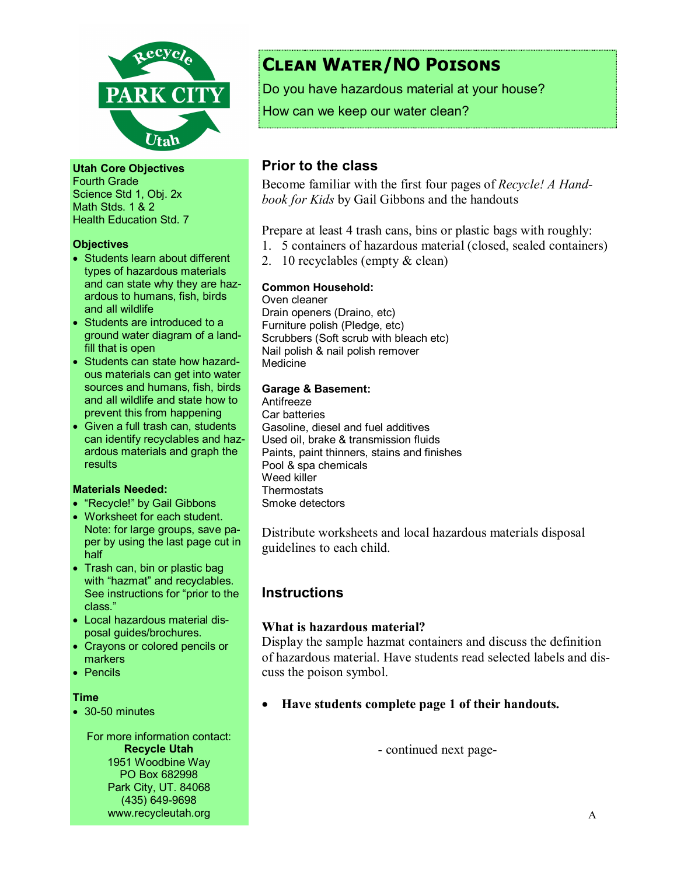

Utah Core Objectives Fourth Grade Science Std 1, Obj. 2x Math Stds. 1 & 2 Health Education Std. 7

#### **Objectives**

- Students learn about different types of hazardous materials and can state why they are hazardous to humans, fish, birds and all wildlife
- Students are introduced to a ground water diagram of a landfill that is open
- Students can state how hazardous materials can get into water sources and humans, fish, birds and all wildlife and state how to prevent this from happening
- Given a full trash can, students can identify recyclables and hazardous materials and graph the results

### Materials Needed:

- "Recycle!" by Gail Gibbons
- Worksheet for each student. Note: for large groups, save paper by using the last page cut in half
- Trash can, bin or plastic bag with "hazmat" and recyclables. See instructions for "prior to the class."
- Local hazardous material disposal guides/brochures.
- Crayons or colored pencils or **markers**
- Pencils

#### Time

• 30-50 minutes

For more information contact: Recycle Utah 1951 Woodbine Way PO Box 682998 Park City, UT. 84068 (435) 649-9698 www.recycleutah.org

# Clean Water/NO Poisons

Do you have hazardous material at your house?

How can we keep our water clean?

# Prior to the class

Become familiar with the first four pages of Recycle! A Handbook for Kids by Gail Gibbons and the handouts

Prepare at least 4 trash cans, bins or plastic bags with roughly:

- 1. 5 containers of hazardous material (closed, sealed containers)
- 2. 10 recyclables (empty & clean)

### Common Household:

Oven cleaner Drain openers (Draino, etc) Furniture polish (Pledge, etc) Scrubbers (Soft scrub with bleach etc) Nail polish & nail polish remover Medicine

### Garage & Basement:

Antifreeze Car batteries Gasoline, diesel and fuel additives Used oil, brake & transmission fluids Paints, paint thinners, stains and finishes Pool & spa chemicals Weed killer **Thermostats** Smoke detectors

Distribute worksheets and local hazardous materials disposal guidelines to each child.

# **Instructions**

### What is hazardous material?

Display the sample hazmat containers and discuss the definition of hazardous material. Have students read selected labels and discuss the poison symbol.

• Have students complete page 1 of their handouts.

- continued next page-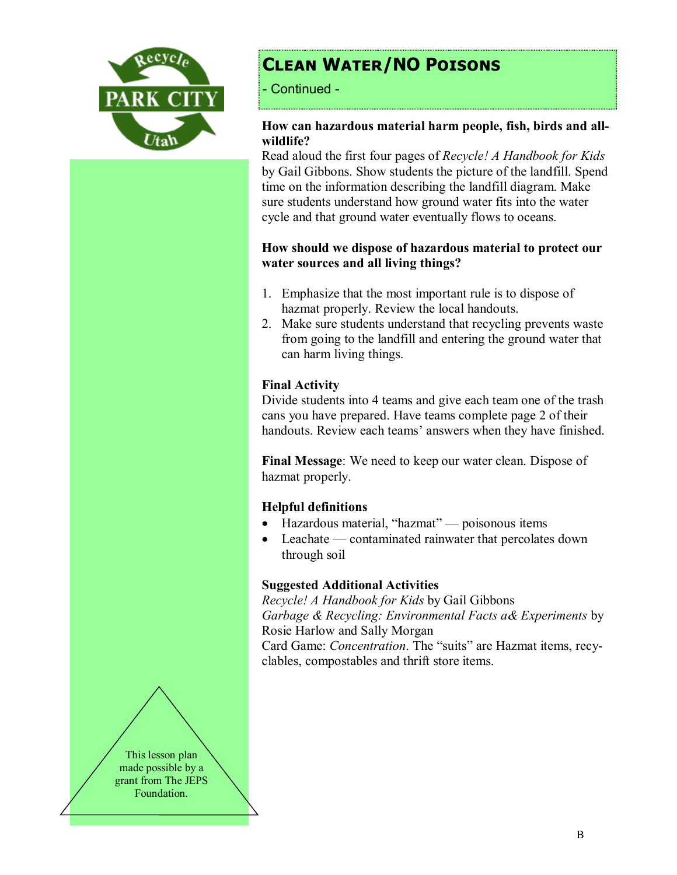

# Clean Water/NO Poisons

- Continued -

### How can hazardous material harm people, fish, birds and allwildlife?

Read aloud the first four pages of Recycle! A Handbook for Kids by Gail Gibbons. Show students the picture of the landfill. Spend time on the information describing the landfill diagram. Make sure students understand how ground water fits into the water cycle and that ground water eventually flows to oceans.

### How should we dispose of hazardous material to protect our water sources and all living things?

- 1. Emphasize that the most important rule is to dispose of hazmat properly. Review the local handouts.
- 2. Make sure students understand that recycling prevents waste from going to the landfill and entering the ground water that can harm living things.

### Final Activity

Divide students into 4 teams and give each team one of the trash cans you have prepared. Have teams complete page 2 of their handouts. Review each teams' answers when they have finished.

Final Message: We need to keep our water clean. Dispose of hazmat properly.

# Helpful definitions

- Hazardous material, "hazmat" poisonous items
- Leachate contaminated rainwater that percolates down through soil

# Suggested Additional Activities

Recycle! A Handbook for Kids by Gail Gibbons Garbage & Recycling: Environmental Facts a& Experiments by Rosie Harlow and Sally Morgan

Card Game: Concentration. The "suits" are Hazmat items, recyclables, compostables and thrift store items.

This lesson plan made possible by a grant from The JEPS Foundation.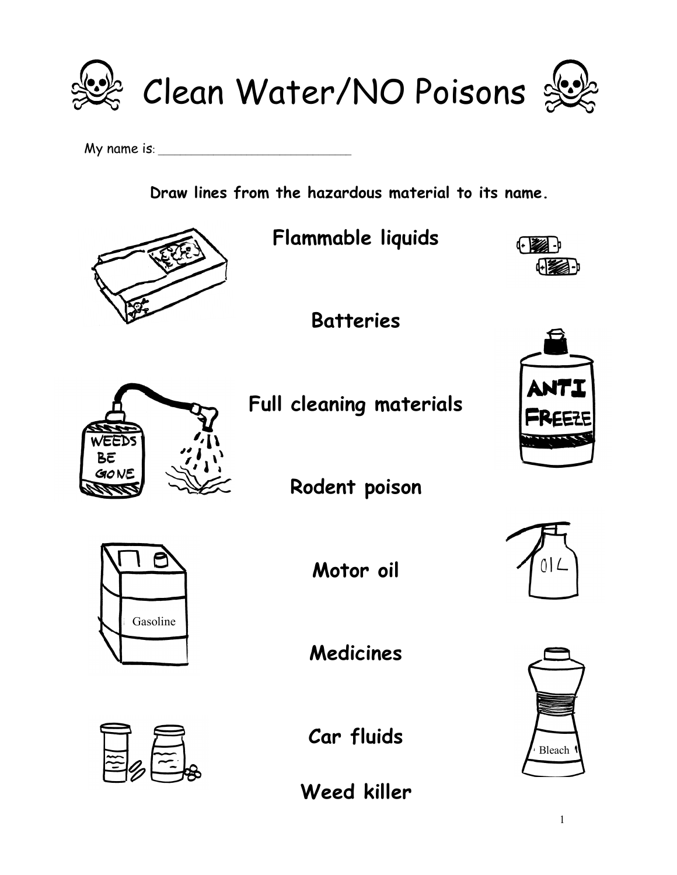

My name is: \_\_\_\_\_\_\_\_\_\_\_\_\_\_\_\_\_\_\_\_\_\_\_\_\_\_\_\_\_\_\_\_\_\_\_

Draw lines from the hazardous material to its name.

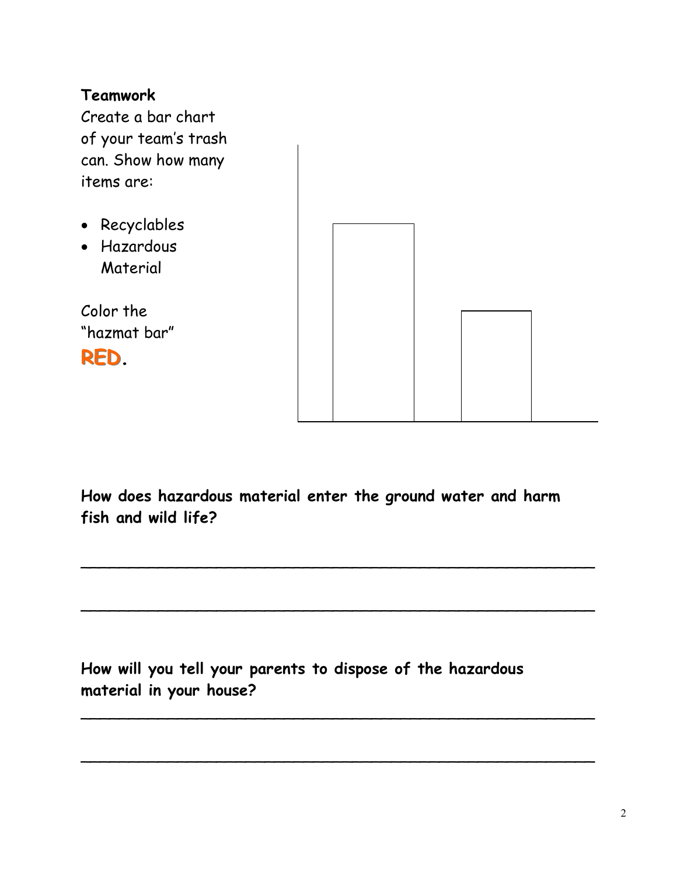# Teamwork

Create a bar chart of your team's trash can. Show how many items are:

- Recyclables
- Hazardous Material

Color the "hazmat bar"





How does hazardous material enter the ground water and harm fish and wild life?

 $\overline{\phantom{a}}$ 

 $\overline{\phantom{a}}$ 

 $\overline{\phantom{a}}$ 

 $\overline{\phantom{a}}$ 

How will you tell your parents to dispose of the hazardous material in your house?